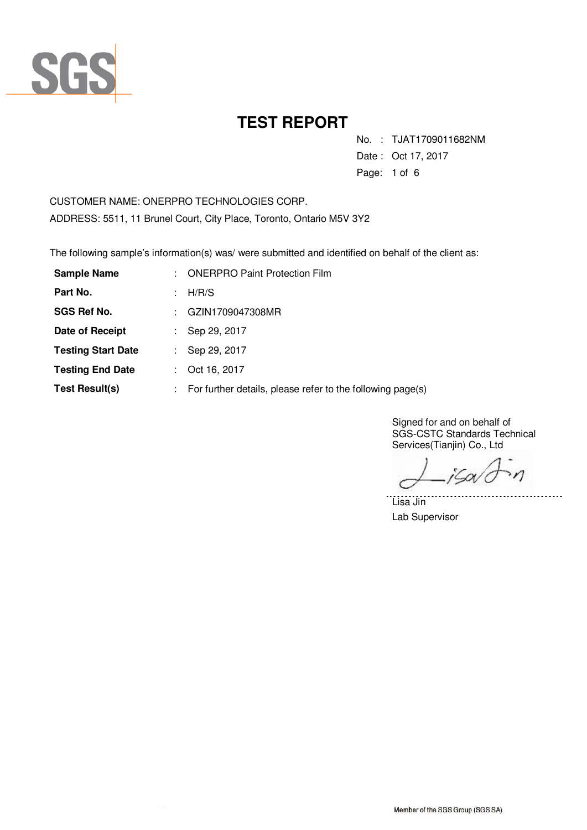

No. : TJAT1709011682NM

Date : Oct 17, 2017

Page: 1 of 6

CUSTOMER NAME: ONERPRO TECHNOLOGIES CORP. ADDRESS: 5511, 11 Brunel Court, City Place, Toronto, Ontario M5V 3Y2

The following sample's information(s) was/ were submitted and identified on behalf of the client as:

| <b>Sample Name</b>        |                           | <b>ONERPRO Paint Protection Film</b>                       |
|---------------------------|---------------------------|------------------------------------------------------------|
| Part No.                  |                           | H/R/S                                                      |
| <b>SGS Ref No.</b>        |                           | GZIN1709047308MR                                           |
| Date of Receipt           |                           | Sep 29, 2017                                               |
| <b>Testing Start Date</b> |                           | Sep 29, 2017                                               |
| <b>Testing End Date</b>   |                           | Oct 16, 2017                                               |
| Test Result(s)            | $\mathbb{R}^{\mathbb{Z}}$ | For further details, please refer to the following page(s) |

Signed for and on behalf of SGS-CSTC Standards Technical Services(Tianjin) Co., Ltd

jSov<sup>i</sup>c  $\mathcal{M}$ 

. . . . . . .

Lisa Jin Lab Supervisor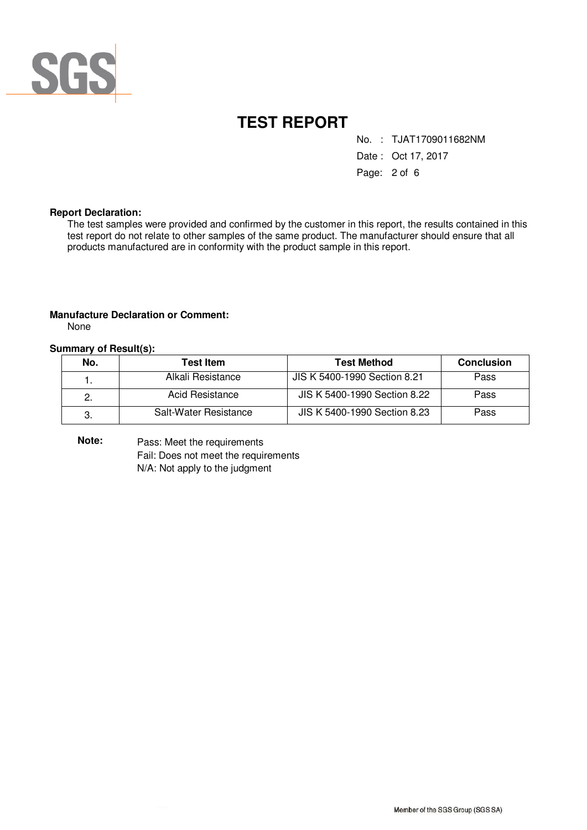

No. : TJAT1709011682NM

Date : Oct 17, 2017

Page: 2 of 6

#### **Report Declaration:**

The test samples were provided and confirmed by the customer in this report, the results contained in this test report do not relate to other samples of the same product. The manufacturer should ensure that all products manufactured are in conformity with the product sample in this report.

#### **Manufacture Declaration or Comment:**

None

#### **Summary of Result(s):**

| No. | <b>Test Item</b>      | <b>Test Method</b>           | <b>Conclusion</b> |
|-----|-----------------------|------------------------------|-------------------|
|     | Alkali Resistance     | JIS K 5400-1990 Section 8.21 | Pass              |
| 2.  | Acid Resistance       | JIS K 5400-1990 Section 8.22 | Pass              |
| З.  | Salt-Water Resistance | JIS K 5400-1990 Section 8.23 | Pass              |

Pass: Meet the requirements Fail: Does not meet the requirements N/A: Not apply to the judgment **Note:**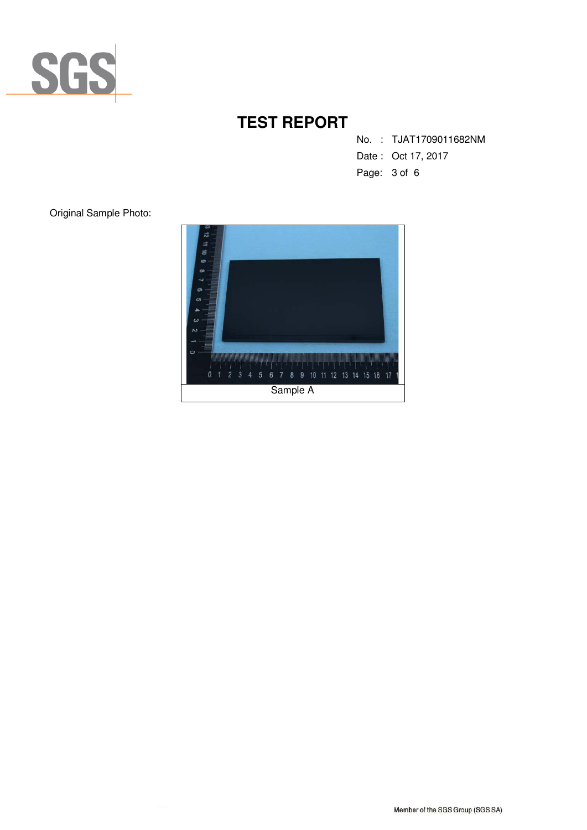

No. : TJAT1709011682NM

- Date : Oct 17, 2017
- Page: 3 of 6

Original Sample Photo:

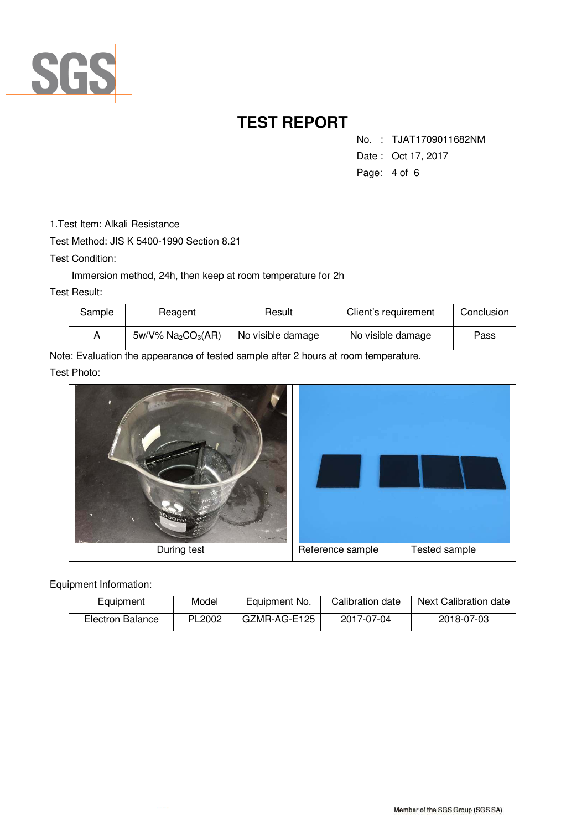

No. : TJAT1709011682NM

- Date : Oct 17, 2017
- Page: 4 of 6

1.Test Item: Alkali Resistance

Test Method: JIS K 5400-1990 Section 8.21

Test Condition:

Immersion method, 24h, then keep at room temperature for 2h

Test Result:

| Sample | Reagent                                       | Result            | Client's requirement | Conclusion |
|--------|-----------------------------------------------|-------------------|----------------------|------------|
| A      | $5w/V\%$ Na <sub>2</sub> CO <sub>3</sub> (AR) | No visible damage | No visible damage    | Pass       |

Note: Evaluation the appearance of tested sample after 2 hours at room temperature.

Test Photo:



Equipment Information:

| Equipment        | Model  | Equipment No. | Calibration date | Next Calibration date |
|------------------|--------|---------------|------------------|-----------------------|
| Electron Balance | PL2002 | GZMR-AG-E125  | 2017-07-04       | 2018-07-03            |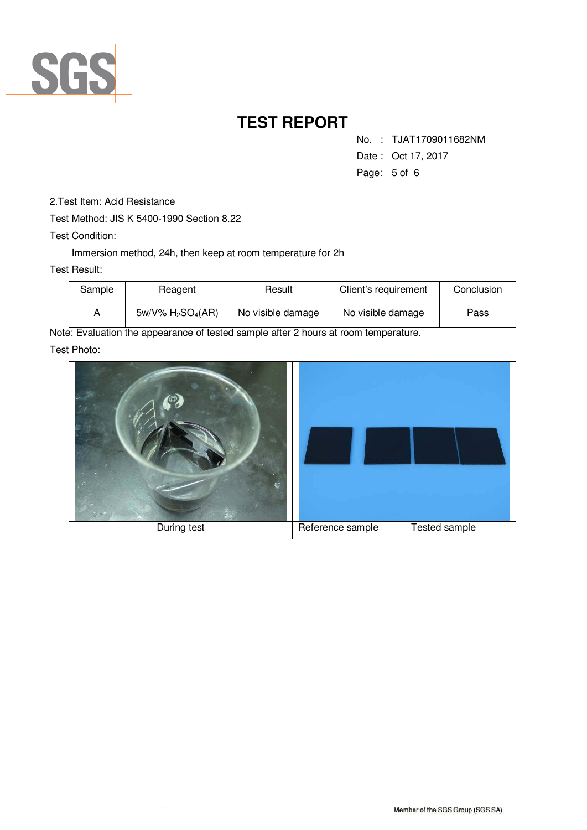

No. : TJAT1709011682NM

- Date : Oct 17, 2017
- Page: 5 of 6

- 2.Test Item: Acid Resistance
- Test Method: JIS K 5400-1990 Section 8.22

Test Condition:

Immersion method, 24h, then keep at room temperature for 2h

#### Test Result:

| Sample | Reagent              | Result            | Client's requirement | Conclusion |
|--------|----------------------|-------------------|----------------------|------------|
| Α      | $5w/V\% H_2SO_4(AR)$ | No visible damage | No visible damage    | Pass       |

Note: Evaluation the appearance of tested sample after 2 hours at room temperature.

Test Photo: